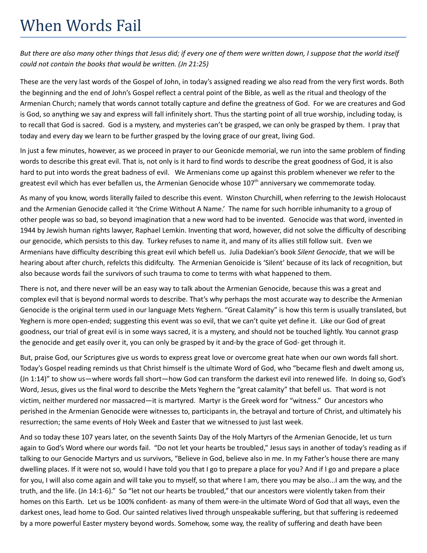## When Words Fail

But there are also many other things that Jesus did; if every one of them were written down, I suppose that the world itself *could not contain the books that would be written. (Jn 21:25)*

These are the very last words of the Gospel of John, in today's assigned reading we also read from the very first words. Both the beginning and the end of John's Gospel reflect a central point of the Bible, as well as the ritual and theology of the Armenian Church; namely that words cannot totally capture and define the greatness of God. For we are creatures and God is God, so anything we say and express will fall infinitely short. Thus the starting point of all true worship, including today, is to recall that God is sacred. God is a mystery, and mysteries can't be grasped, we can only be grasped by them. I pray that today and every day we learn to be further grasped by the loving grace of our great, living God.

In just a few minutes, however, as we proceed in prayer to our Geonicde memorial, we run into the same problem of finding words to describe this great evil. That is, not only is it hard to find words to describe the great goodness of God, it is also hard to put into words the great badness of evil. We Armenians come up against this problem whenever we refer to the greatest evil which has ever befallen us, the Armenian Genocide whose 107<sup>th</sup> anniversary we commemorate today.

As many of you know, words literally failed to describe this event. Winston Churchill, when referring to the Jewish Holocaust and the Armenian Genocide called it 'the Crime Without A Name.' The name for such horrible inhumanity to a group of other people was so bad, so beyond imagination that a new word had to be invented. Genocide was that word, invented in 1944 by Jewish human rights lawyer, Raphael Lemkin. Inventing that word, however, did not solve the difficulty of describing our genocide, which persists to this day. Turkey refuses to name it, and many of its allies still follow suit. Even we Armenians have difficulty describing this great evil which befell us. Julia Dadekian's book *Silent Genocide*, that we will be hearing about after church, refelcts this didifculty. The Armenian Genoicide is 'Silent' because of its lack of recognition, but also because words fail the survivors of such trauma to come to terms with what happened to them.

There is not, and there never will be an easy way to talk about the Armenian Genocide, because this was a great and complex evil that is beyond normal words to describe. That's why perhaps the most accurate way to describe the Armenian Genocide is the original term used in our language Mets Yeghern. "Great Calamity" is how this term is usually translated, but Yeghern is more open-ended; suggesting this event was so evil, that we can't quite yet define it. Like our God of great goodness, our trial of great evil is in some ways sacred, it is a mystery, and should not be touched lightly. You cannot grasp the genocide and get easily over it, you can only be grasped by it and-by the grace of God- get through it.

But, praise God, our Scriptures give us words to express great love or overcome great hate when our own words fall short. Today's Gospel reading reminds us that Christ himself is the ultimate Word of God, who "became flesh and dwelt among us, (Jn 1:14)" to show us—where words fall short—how God can transform the darkest evil into renewed life. In doing so, God's Word, Jesus, gives us the final word to describe the Mets Yeghern the "great calamity" that befell us. That word is not victim, neither murdered nor massacred—it is martyred. Martyr is the Greek word for "witness." Our ancestors who perished in the Armenian Genocide were witnesses to, participants in, the betrayal and torture of Christ, and ultimately his resurrection; the same events of Holy Week and Easter that we witnessed to just last week.

And so today these 107 years later, on the seventh Saints Day of the Holy Martyrs of the Armenian Genocide, let us turn again to God's Word where our words fail. "Do not let your hearts be troubled," Jesus says in another of today's reading as if talking to our Genocide Martyrs and us survivors, "Believe in God, believe also in me. In my Father's house there are many dwelling places. If it were not so, would I have told you that I go to prepare a place for you? And if I go and prepare a place for you, I will also come again and will take you to myself, so that where I am, there you may be also...I am the way, and the truth, and the life. (Jn 14:1-6)." So "let not our hearts be troubled," that our ancestors were violently taken from their homes on this Earth. Let us be 100% confident- as many of them were-in the ultimate Word of God that all ways, even the darkest ones, lead home to God. Our sainted relatives lived through unspeakable suffering, but that suffering is redeemed by a more powerful Easter mystery beyond words. Somehow, some way, the reality of suffering and death have been